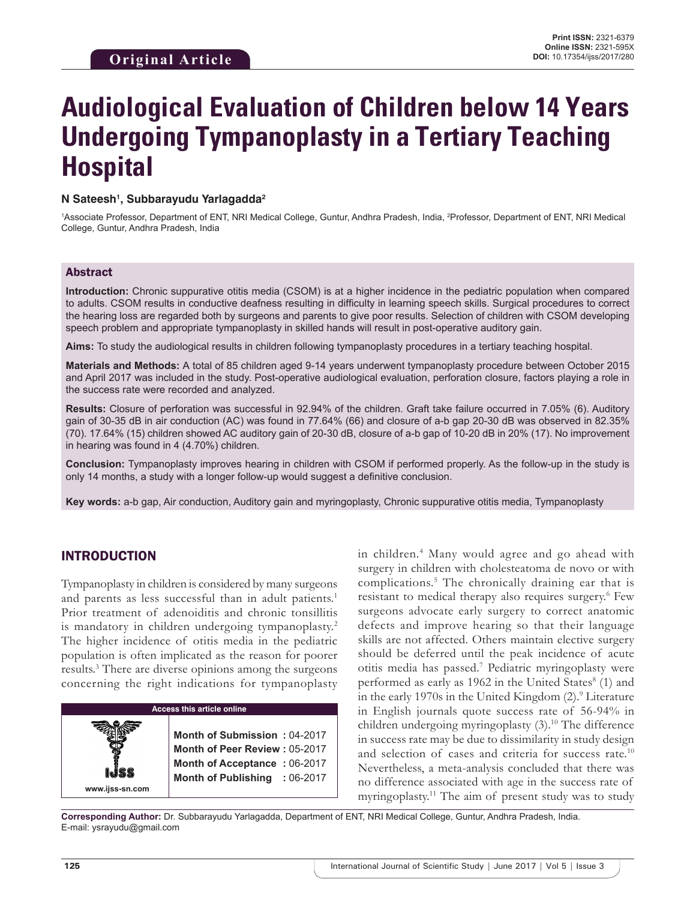# **Audiological Evaluation of Children below 14 Years Undergoing Tympanoplasty in a Tertiary Teaching Hospital**

## **N Sateesh1 , Subbarayudu Yarlagadda2**

<sup>1</sup>Associate Professor, Department of ENT, NRI Medical College, Guntur, Andhra Pradesh, India, <sup>2</sup>Professor, Department of ENT, NRI Medical College, Guntur, Andhra Pradesh, India

## Abstract

**Introduction:** Chronic suppurative otitis media (CSOM) is at a higher incidence in the pediatric population when compared to adults. CSOM results in conductive deafness resulting in difficulty in learning speech skills. Surgical procedures to correct the hearing loss are regarded both by surgeons and parents to give poor results. Selection of children with CSOM developing speech problem and appropriate tympanoplasty in skilled hands will result in post-operative auditory gain.

**Aims:** To study the audiological results in children following tympanoplasty procedures in a tertiary teaching hospital.

**Materials and Methods:** A total of 85 children aged 9-14 years underwent tympanoplasty procedure between October 2015 and April 2017 was included in the study. Post-operative audiological evaluation, perforation closure, factors playing a role in the success rate were recorded and analyzed.

**Results:** Closure of perforation was successful in 92.94% of the children. Graft take failure occurred in 7.05% (6). Auditory gain of 30-35 dB in air conduction (AC) was found in 77.64% (66) and closure of a-b gap 20-30 dB was observed in 82.35% (70). 17.64% (15) children showed AC auditory gain of 20-30 dB, closure of a-b gap of 10-20 dB in 20% (17). No improvement in hearing was found in 4 (4.70%) children.

**Conclusion:** Tympanoplasty improves hearing in children with CSOM if performed properly. As the follow-up in the study is only 14 months, a study with a longer follow-up would suggest a definitive conclusion.

**Key words:** a-b gap, Air conduction, Auditory gain and myringoplasty, Chronic suppurative otitis media, Tympanoplasty

## INTRODUCTION

Tympanoplasty in children is considered by many surgeons and parents as less successful than in adult patients.<sup>1</sup> Prior treatment of adenoiditis and chronic tonsillitis is mandatory in children undergoing tympanoplasty.<sup>2</sup> The higher incidence of otitis media in the pediatric population is often implicated as the reason for poorer results.3 There are diverse opinions among the surgeons concerning the right indications for tympanoplasty



in children.4 Many would agree and go ahead with surgery in children with cholesteatoma de novo or with complications.5 The chronically draining ear that is resistant to medical therapy also requires surgery.<sup>6</sup> Few surgeons advocate early surgery to correct anatomic defects and improve hearing so that their language skills are not affected. Others maintain elective surgery should be deferred until the peak incidence of acute otitis media has passed.7 Pediatric myringoplasty were performed as early as 1962 in the United States<sup>8</sup> (1) and in the early 1970s in the United Kingdom (2).<sup>9</sup> Literature in English journals quote success rate of 56-94% in children undergoing myringoplasty (3).<sup>10</sup> The difference in success rate may be due to dissimilarity in study design and selection of cases and criteria for success rate.10 Nevertheless, a meta-analysis concluded that there was no difference associated with age in the success rate of myringoplasty.11 The aim of present study was to study

**Corresponding Author:** Dr. Subbarayudu Yarlagadda, Department of ENT, NRI Medical College, Guntur, Andhra Pradesh, India. E-mail: ysrayudu@gmail.com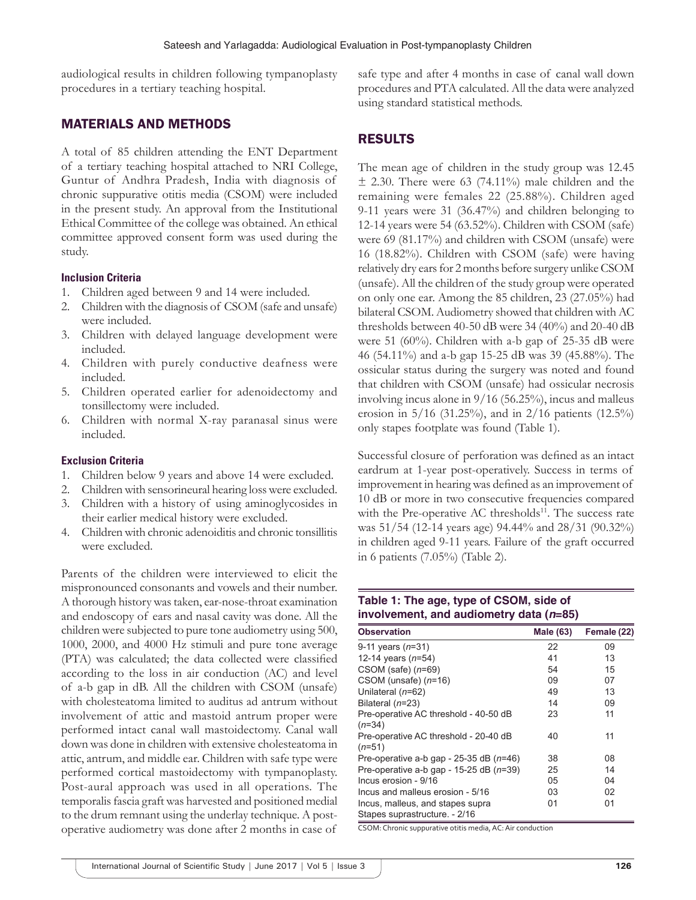audiological results in children following tympanoplasty procedures in a tertiary teaching hospital.

# MATERIALS AND METHODS

A total of 85 children attending the ENT Department of a tertiary teaching hospital attached to NRI College, Guntur of Andhra Pradesh, India with diagnosis of chronic suppurative otitis media (CSOM) were included in the present study. An approval from the Institutional Ethical Committee of the college was obtained. An ethical committee approved consent form was used during the study.

## **Inclusion Criteria**

- 1. Children aged between 9 and 14 were included.
- 2. Children with the diagnosis of CSOM (safe and unsafe) were included.
- 3. Children with delayed language development were included.
- 4. Children with purely conductive deafness were included.
- 5. Children operated earlier for adenoidectomy and tonsillectomy were included.
- 6. Children with normal X-ray paranasal sinus were included.

## **Exclusion Criteria**

- 1. Children below 9 years and above 14 were excluded.
- 2. Children with sensorineural hearing loss were excluded.
- 3. Children with a history of using aminoglycosides in their earlier medical history were excluded.
- 4. Children with chronic adenoiditis and chronic tonsillitis were excluded.

Parents of the children were interviewed to elicit the mispronounced consonants and vowels and their number. A thorough history was taken, ear-nose-throat examination and endoscopy of ears and nasal cavity was done. All the children were subjected to pure tone audiometry using 500, 1000, 2000, and 4000 Hz stimuli and pure tone average (PTA) was calculated; the data collected were classified according to the loss in air conduction (AC) and level of a-b gap in dB. All the children with CSOM (unsafe) with cholesteatoma limited to auditus ad antrum without involvement of attic and mastoid antrum proper were performed intact canal wall mastoidectomy. Canal wall down was done in children with extensive cholesteatoma in attic, antrum, and middle ear. Children with safe type were performed cortical mastoidectomy with tympanoplasty. Post-aural approach was used in all operations. The temporalis fascia graft was harvested and positioned medial to the drum remnant using the underlay technique. A postoperative audiometry was done after 2 months in case of

safe type and after 4 months in case of canal wall down procedures and PTA calculated. All the data were analyzed using standard statistical methods.

# RESULTS

The mean age of children in the study group was 12.45  $\pm$  2.30. There were 63 (74.11%) male children and the remaining were females 22 (25.88%). Children aged 9-11 years were 31 (36.47%) and children belonging to 12-14 years were 54 (63.52%). Children with CSOM (safe) were 69 (81.17%) and children with CSOM (unsafe) were 16 (18.82%). Children with CSOM (safe) were having relatively dry ears for 2 months before surgery unlike CSOM (unsafe). All the children of the study group were operated on only one ear. Among the 85 children, 23 (27.05%) had bilateral CSOM. Audiometry showed that children with AC thresholds between 40-50 dB were 34 (40%) and 20-40 dB were 51 (60%). Children with a-b gap of 25-35 dB were 46 (54.11%) and a-b gap 15-25 dB was 39 (45.88%). The ossicular status during the surgery was noted and found that children with CSOM (unsafe) had ossicular necrosis involving incus alone in 9/16 (56.25%), incus and malleus erosion in 5/16 (31.25%), and in 2/16 patients (12.5%) only stapes footplate was found (Table 1).

Successful closure of perforation was defined as an intact eardrum at 1-year post-operatively. Success in terms of improvement in hearing was defined as an improvement of 10 dB or more in two consecutive frequencies compared with the Pre-operative AC thresholds<sup>11</sup>. The success rate was 51/54 (12-14 years age) 94.44% and 28/31 (90.32%) in children aged 9-11 years. Failure of the graft occurred in 6 patients (7.05%) (Table 2).

## **Table 1: The age, type of CSOM, side of involvement, and audiometry data (***n***=85)**

| <b>Observation</b>                                                | <b>Male (63)</b> | Female (22) |
|-------------------------------------------------------------------|------------------|-------------|
| 9-11 years $(n=31)$                                               | 22               | 09          |
| 12-14 years $(n=54)$                                              | 41               | 13          |
| CSOM (safe) $(n=69)$                                              | 54               | 15          |
| CSOM (unsafe) $(n=16)$                                            | 09               | 07          |
| Unilateral $(n=62)$                                               | 49               | 13          |
| Bilateral $(n=23)$                                                | 14               | 09          |
| Pre-operative AC threshold - 40-50 dB<br>$(n=34)$                 | 23               | 11          |
| Pre-operative AC threshold - 20-40 dB<br>$(n=51)$                 | 40               | 11          |
| Pre-operative a-b gap - 25-35 dB $(n=46)$                         | 38               | 08          |
| Pre-operative a-b gap - 15-25 dB $(n=39)$                         | 25               | 14          |
| Incus erosion - 9/16                                              | 05               | 04          |
| Incus and malleus erosion - 5/16                                  | 03               | 02          |
| Incus, malleus, and stapes supra<br>Stapes suprastructure. - 2/16 | 01               | 01          |

CSOM: Chronic suppurative otitis media, AC: Air conduction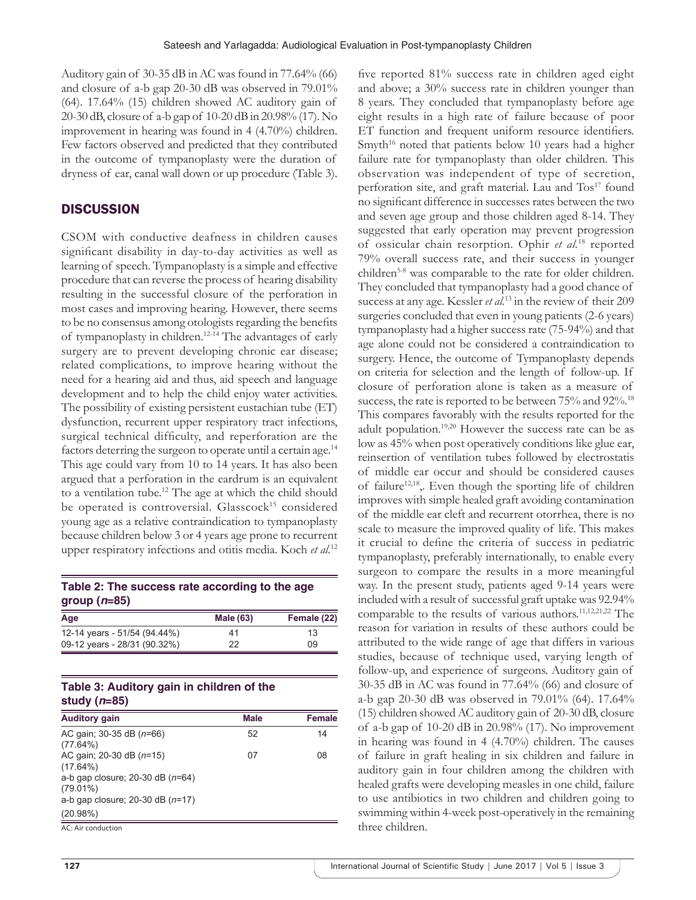Auditory gain of 30-35 dB in AC was found in 77.64% (66) and closure of a-b gap 20-30 dB was observed in 79.01% (64). 17.64% (15) children showed AC auditory gain of 20-30 dB, closure of a-b gap of 10-20 dB in 20.98% (17). No improvement in hearing was found in 4 (4.70%) children. Few factors observed and predicted that they contributed in the outcome of tympanoplasty were the duration of dryness of ear, canal wall down or up procedure (Table 3).

# **DISCUSSION**

CSOM with conductive deafness in children causes significant disability in day-to-day activities as well as learning of speech. Tympanoplasty is a simple and effective procedure that can reverse the process of hearing disability resulting in the successful closure of the perforation in most cases and improving hearing. However, there seems to be no consensus among otologists regarding the benefits of tympanoplasty in children.12-14 The advantages of early surgery are to prevent developing chronic ear disease; related complications, to improve hearing without the need for a hearing aid and thus, aid speech and language development and to help the child enjoy water activities. The possibility of existing persistent eustachian tube (ET) dysfunction, recurrent upper respiratory tract infections, surgical technical difficulty, and reperforation are the factors deterring the surgeon to operate until a certain age.<sup>14</sup> This age could vary from 10 to 14 years. It has also been argued that a perforation in the eardrum is an equivalent to a ventilation tube.12 The age at which the child should be operated is controversial. Glasscock<sup>15</sup> considered young age as a relative contraindication to tympanoplasty because children below 3 or 4 years age prone to recurrent upper respiratory infections and otitis media. Koch *et al.*<sup>12</sup>

# **Table 2: The success rate according to the age group (***n***=85)**

| Age                          | <b>Male (63)</b> | Female (22) |
|------------------------------|------------------|-------------|
| 12-14 years - 51/54 (94.44%) | 41               | 13          |
| 09-12 years - 28/31 (90.32%) | 22               | 09          |

# **Table 3: Auditory gain in children of the study (***n***=85)**

| <b>Auditory gain</b>                              | <b>Male</b> | <b>Female</b> |
|---------------------------------------------------|-------------|---------------|
| AC gain; 30-35 dB $(n=66)$                        | 52          | 14            |
| $(77.64\%)$<br>AC gain; 20-30 dB $(n=15)$         | 07          | 08            |
| $(17.64\%)$                                       |             |               |
| a-b gap closure; 20-30 dB $(n=64)$<br>$(79.01\%)$ |             |               |
| a-b gap closure; 20-30 dB $(n=17)$                |             |               |
| (20.98%)                                          |             |               |
| AC. Air conduction                                |             |               |

AC: Air conduction

five reported 81% success rate in children aged eight and above; a 30% success rate in children younger than 8 years. They concluded that tympanoplasty before age eight results in a high rate of failure because of poor ET function and frequent uniform resource identifiers. Smyth<sup>16</sup> noted that patients below 10 years had a higher failure rate for tympanoplasty than older children. This observation was independent of type of secretion, perforation site, and graft material. Lau and Tos<sup>17</sup> found no significant difference in successes rates between the two and seven age group and those children aged 8-14. They suggested that early operation may prevent progression of ossicular chain resorption. Ophir *et al.*18 reported 79% overall success rate, and their success in younger children<sup>5-8</sup> was comparable to the rate for older children. They concluded that tympanoplasty had a good chance of success at any age. Kessler *et al.*13 in the review of their 209 surgeries concluded that even in young patients (2-6 years) tympanoplasty had a higher success rate (75-94%) and that age alone could not be considered a contraindication to surgery. Hence, the outcome of Tympanoplasty depends on criteria for selection and the length of follow-up. If closure of perforation alone is taken as a measure of success, the rate is reported to be between 75% and 92%.<sup>18</sup> This compares favorably with the results reported for the adult population.19,20 However the success rate can be as low as 45% when post operatively conditions like glue ear, reinsertion of ventilation tubes followed by electrostatis of middle ear occur and should be considered causes of failure<sup>12,18</sup>,. Even though the sporting life of children improves with simple healed graft avoiding contamination of the middle ear cleft and recurrent otorrhea, there is no scale to measure the improved quality of life. This makes it crucial to define the criteria of success in pediatric tympanoplasty, preferably internationally, to enable every surgeon to compare the results in a more meaningful way. In the present study, patients aged 9-14 years were included with a result of successful graft uptake was 92.94% comparable to the results of various authors.11,12,21,22 The reason for variation in results of these authors could be attributed to the wide range of age that differs in various studies, because of technique used, varying length of follow-up, and experience of surgeons. Auditory gain of 30-35 dB in AC was found in 77.64% (66) and closure of a-b gap 20-30 dB was observed in 79.01% (64). 17.64% (15) children showed AC auditory gain of 20-30 dB, closure of a-b gap of 10-20 dB in 20.98% (17). No improvement in hearing was found in 4 (4.70%) children. The causes of failure in graft healing in six children and failure in auditory gain in four children among the children with healed grafts were developing measles in one child, failure to use antibiotics in two children and children going to swimming within 4-week post-operatively in the remaining three children.